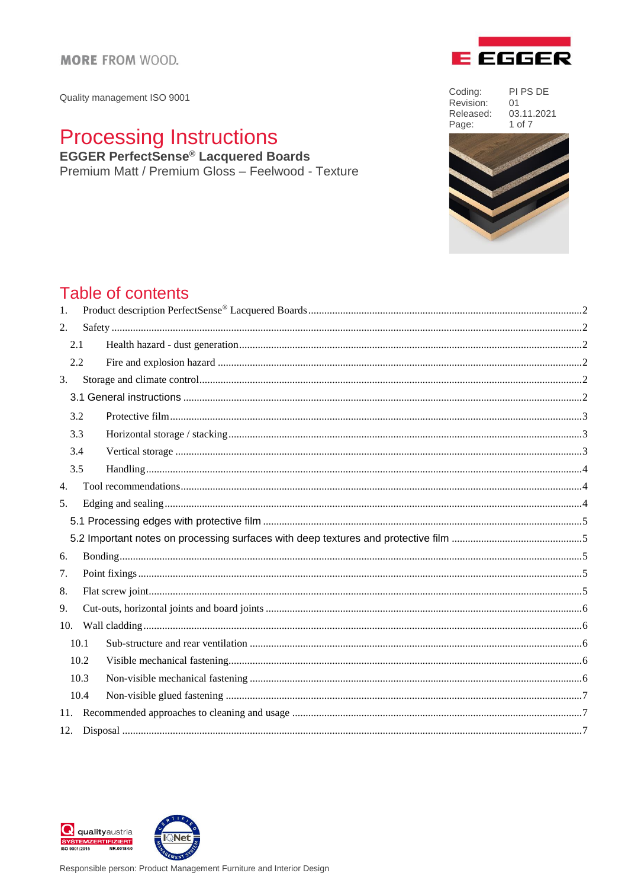Quality management ISO 9001

# **Processing Instructions**<br>EGGER PerfectSense® Lacquered Boards

Premium Matt / Premium Gloss - Feelwood - Texture

Coding: PI PS DE Revision: 01 Released: 03.11.2021 Page: 1 of 7

**E** EGGER



## Table of contents

| 1.  |      |  |  |
|-----|------|--|--|
| 2.  |      |  |  |
|     | 2.1  |  |  |
|     | 2.2  |  |  |
| 3.  |      |  |  |
|     |      |  |  |
|     | 3.2  |  |  |
|     | 3.3  |  |  |
|     | 3.4  |  |  |
|     | 3.5  |  |  |
| 4.  |      |  |  |
| 5.  |      |  |  |
|     |      |  |  |
|     |      |  |  |
| 6.  |      |  |  |
| 7.  |      |  |  |
| 8.  |      |  |  |
| 9.  |      |  |  |
| 10. |      |  |  |
|     | 10.1 |  |  |
|     | 10.2 |  |  |
|     | 10.3 |  |  |
|     | 10.4 |  |  |
|     |      |  |  |
|     |      |  |  |

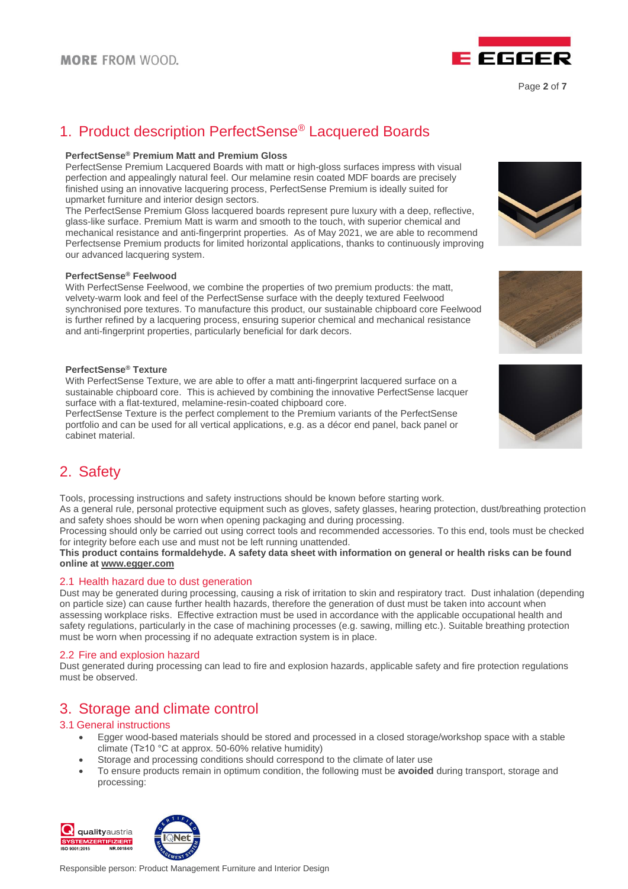

Page **2** of **7**

### <span id="page-1-0"></span>1. Product description PerfectSense® Lacquered Boards

### **PerfectSense® Premium Matt and Premium Gloss**

PerfectSense Premium Lacquered Boards with matt or high-gloss surfaces impress with visual perfection and appealingly natural feel. Our melamine resin coated MDF boards are precisely finished using an innovative lacquering process, PerfectSense Premium is ideally suited for upmarket furniture and interior design sectors.

The PerfectSense Premium Gloss lacquered boards represent pure luxury with a deep, reflective, glass-like surface. Premium Matt is warm and smooth to the touch, with superior chemical and mechanical resistance and anti-fingerprint properties. As of May 2021, we are able to recommend Perfectsense Premium products for limited horizontal applications, thanks to continuously improving our advanced lacquering system.

#### **PerfectSense® Feelwood**

With PerfectSense Feelwood, we combine the properties of two premium products: the matt, velvety-warm look and feel of the PerfectSense surface with the deeply textured Feelwood synchronised pore textures. To manufacture this product, our sustainable chipboard core Feelwood is further refined by a lacquering process, ensuring superior chemical and mechanical resistance and anti-fingerprint properties, particularly beneficial for dark decors.

#### **PerfectSense® Texture**

With PerfectSense Texture, we are able to offer a matt anti-fingerprint lacquered surface on a sustainable chipboard core. This is achieved by combining the innovative PerfectSense lacquer surface with a flat-textured, melamine-resin-coated chipboard core.

PerfectSense Texture is the perfect complement to the Premium variants of the PerfectSense portfolio and can be used for all vertical applications, e.g. as a décor end panel, back panel or cabinet material.

<span id="page-1-1"></span>

Tools, processing instructions and safety instructions should be known before starting work.

As a general rule, personal protective equipment such as gloves, safety glasses, hearing protection, dust/breathing protection and safety shoes should be worn when opening packaging and during processing.

Processing should only be carried out using correct tools and recommended accessories. To this end, tools must be checked for integrity before each use and must not be left running unattended.

**This product contains formaldehyde. A safety data sheet with information on general or health risks can be found online at [www.egger.com](http://www.egger.com/)**

### <span id="page-1-2"></span>2.1 Health hazard due to dust generation

Dust may be generated during processing, causing a risk of irritation to skin and respiratory tract. Dust inhalation (depending on particle size) can cause further health hazards, therefore the generation of dust must be taken into account when assessing workplace risks. Effective extraction must be used in accordance with the applicable occupational health and safety regulations, particularly in the case of machining processes (e.g. sawing, milling etc.). Suitable breathing protection must be worn when processing if no adequate extraction system is in place.

### <span id="page-1-3"></span>2.2 Fire and explosion hazard

Dust generated during processing can lead to fire and explosion hazards, applicable safety and fire protection regulations must be observed.

### <span id="page-1-4"></span>3. Storage and climate control

### <span id="page-1-5"></span>3.1 General instructions

- Egger wood-based materials should be stored and processed in a closed storage/workshop space with a stable climate (T≥10 °C at approx. 50-60% relative humidity)
- Storage and processing conditions should correspond to the climate of later use
- To ensure products remain in optimum condition, the following must be **avoided** during transport, storage and processing:







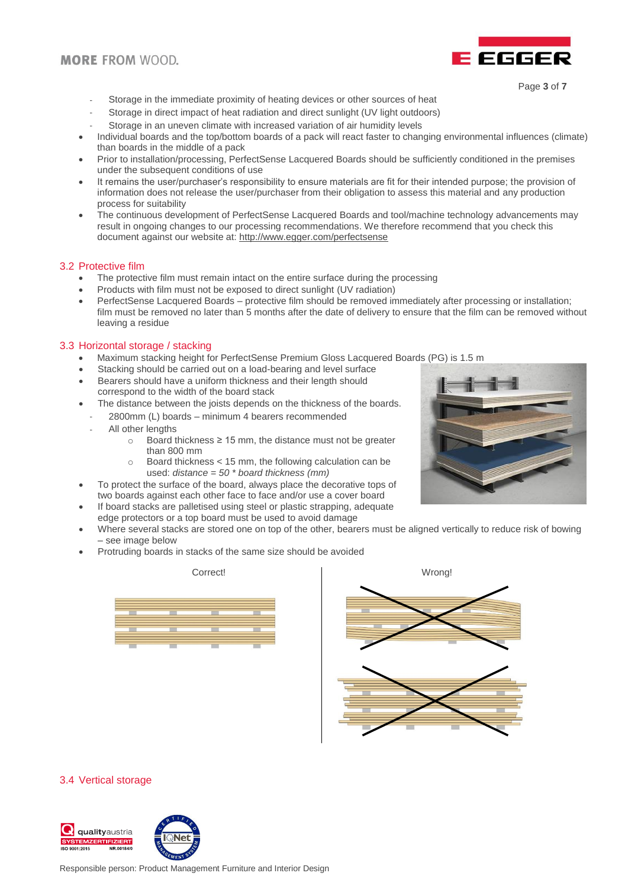### **MORE FROM WOOD.**



- Page **3** of **7**
- Storage in the immediate proximity of heating devices or other sources of heat
- Storage in direct impact of heat radiation and direct sunlight (UV light outdoors)
- Storage in an uneven climate with increased variation of air humidity levels
- Individual boards and the top/bottom boards of a pack will react faster to changing environmental influences (climate) than boards in the middle of a pack
- Prior to installation/processing, PerfectSense Lacquered Boards should be sufficiently conditioned in the premises under the subsequent conditions of use
- It remains the user/purchaser's responsibility to ensure materials are fit for their intended purpose; the provision of information does not release the user/purchaser from their obligation to assess this material and any production process for suitability
- The continuous development of PerfectSense Lacquered Boards and tool/machine technology advancements may result in ongoing changes to our processing recommendations. We therefore recommend that you check this document against our website at:<http://www.egger.com/perfectsense>

### <span id="page-2-0"></span>3.2 Protective film

- The protective film must remain intact on the entire surface during the processing
- Products with film must not be exposed to direct sunlight (UV radiation)
- PerfectSense Lacquered Boards protective film should be removed immediately after processing or installation; film must be removed no later than 5 months after the date of delivery to ensure that the film can be removed without leaving a residue

### <span id="page-2-1"></span>3.3 Horizontal storage / stacking

- Maximum stacking height for PerfectSense Premium Gloss Lacquered Boards (PG) is 1.5 m
- Stacking should be carried out on a load-bearing and level surface
- Bearers should have a uniform thickness and their length should correspond to the width of the board stack
- The distance between the joists depends on the thickness of the boards.
- 2800mm (L) boards minimum 4 bearers recommended
- All other lengths
	- o Board thickness ≥ 15 mm, the distance must not be greater than 800 mm
	- o Board thickness < 15 mm, the following calculation can be used: *distance = 50 \* board thickness (mm)*
- To protect the surface of the board, always place the decorative tops of two boards against each other face to face and/or use a cover board
- If board stacks are palletised using steel or plastic strapping, adequate edge protectors or a top board must be used to avoid damage
- Where several stacks are stored one on top of the other, bearers must be aligned vertically to reduce risk of bowing – see image below
- Protruding boards in stacks of the same size should be avoided





#### <span id="page-2-2"></span>3.4 Vertical storage



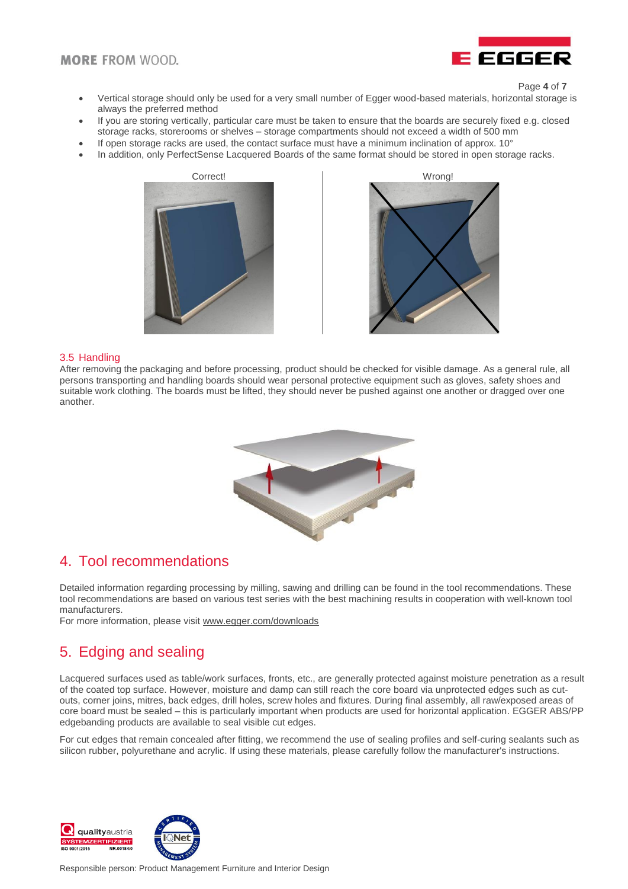

Page **4** of **7**

- Vertical storage should only be used for a very small number of Egger wood-based materials, horizontal storage is always the preferred method
- If you are storing vertically, particular care must be taken to ensure that the boards are securely fixed e.g. closed storage racks, storerooms or shelves – storage compartments should not exceed a width of 500 mm
- If open storage racks are used, the contact surface must have a minimum inclination of approx. 10°
- In addition, only PerfectSense Lacquered Boards of the same format should be stored in open storage racks.





### <span id="page-3-0"></span>3.5 Handling

After removing the packaging and before processing, product should be checked for visible damage. As a general rule, all persons transporting and handling boards should wear personal protective equipment such as gloves, safety shoes and suitable work clothing. The boards must be lifted, they should never be pushed against one another or dragged over one another.



### <span id="page-3-1"></span>4. Tool recommendations

Detailed information regarding processing by milling, sawing and drilling can be found in the tool recommendations. These tool recommendations are based on various test series with the best machining results in cooperation with well-known tool manufacturers.

For more information, please visit [www.egger.com/downloads](http://www.egger.com/downloads)

### <span id="page-3-2"></span>5. Edging and sealing

Lacquered surfaces used as table/work surfaces, fronts, etc., are generally protected against moisture penetration as a result of the coated top surface. However, moisture and damp can still reach the core board via unprotected edges such as cutouts, corner joins, mitres, back edges, drill holes, screw holes and fixtures. During final assembly, all raw/exposed areas of core board must be sealed – this is particularly important when products are used for horizontal application. EGGER ABS/PP edgebanding products are available to seal visible cut edges.

For cut edges that remain concealed after fitting, we recommend the use of sealing profiles and self-curing sealants such as silicon rubber, polyurethane and acrylic. If using these materials, please carefully follow the manufacturer's instructions.

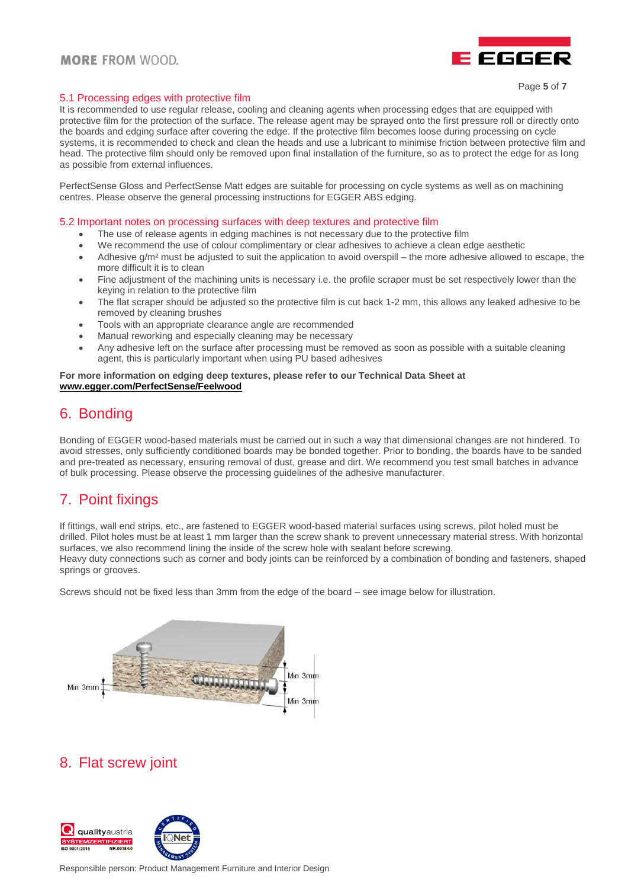

### <span id="page-4-0"></span>5.1 Processing edges with protective film

It is recommended to use regular release, cooling and cleaning agents when processing edges that are equipped with protective film for the protection of the surface. The release agent may be sprayed onto the first pressure roll or directly onto the boards and edging surface after covering the edge. If the protective film becomes loose during processing on cycle systems, it is recommended to check and clean the heads and use a lubricant to minimise friction between protective film and head. The protective film should only be removed upon final installation of the furniture, so as to protect the edge for as long as possible from external influences.

PerfectSense Gloss and PerfectSense Matt edges are suitable for processing on cycle systems as well as on machining centres. Please observe the general processing instructions for EGGER ABS edging.

<span id="page-4-1"></span>5.2 Important notes on processing surfaces with deep textures and protective film

- The use of release agents in edging machines is not necessary due to the protective film
- We recommend the use of colour complimentary or clear adhesives to achieve a clean edge aesthetic
- $\bullet$  Adhesive g/m<sup>2</sup> must be adjusted to suit the application to avoid overspill the more adhesive allowed to escape, the more difficult it is to clean
- Fine adjustment of the machining units is necessary i.e. the profile scraper must be set respectively lower than the keying in relation to the protective film
- The flat scraper should be adjusted so the protective film is cut back 1-2 mm, this allows any leaked adhesive to be removed by cleaning brushes
- Tools with an appropriate clearance angle are recommended
- Manual reworking and especially cleaning may be necessary
- Any adhesive left on the surface after processing must be removed as soon as possible with a suitable cleaning agent, this is particularly important when using PU based adhesives

#### **For more information on edging deep textures, please refer to our Technical Data Sheet at [www.egger.com/PerfectSense/Feelwood](https://www.egger.com/shop/de_AT/interior/product-detail/FEELWOODMATT#downloads)**

### <span id="page-4-2"></span>6. Bonding

Bonding of EGGER wood-based materials must be carried out in such a way that dimensional changes are not hindered. To avoid stresses, only sufficiently conditioned boards may be bonded together. Prior to bonding, the boards have to be sanded and pre-treated as necessary, ensuring removal of dust, grease and dirt. We recommend you test small batches in advance of bulk processing. Please observe the processing guidelines of the adhesive manufacturer.

### <span id="page-4-3"></span>7. Point fixings

If fittings, wall end strips, etc., are fastened to EGGER wood-based material surfaces using screws, pilot holed must be drilled. Pilot holes must be at least 1 mm larger than the screw shank to prevent unnecessary material stress. With horizontal surfaces, we also recommend lining the inside of the screw hole with sealant before screwing. Heavy duty connections such as corner and body joints can be reinforced by a combination of bonding and fasteners, shaped springs or grooves.

Screws should not be fixed less than 3mm from the edge of the board – see image below for illustration.



### <span id="page-4-4"></span>8. Flat screw joint

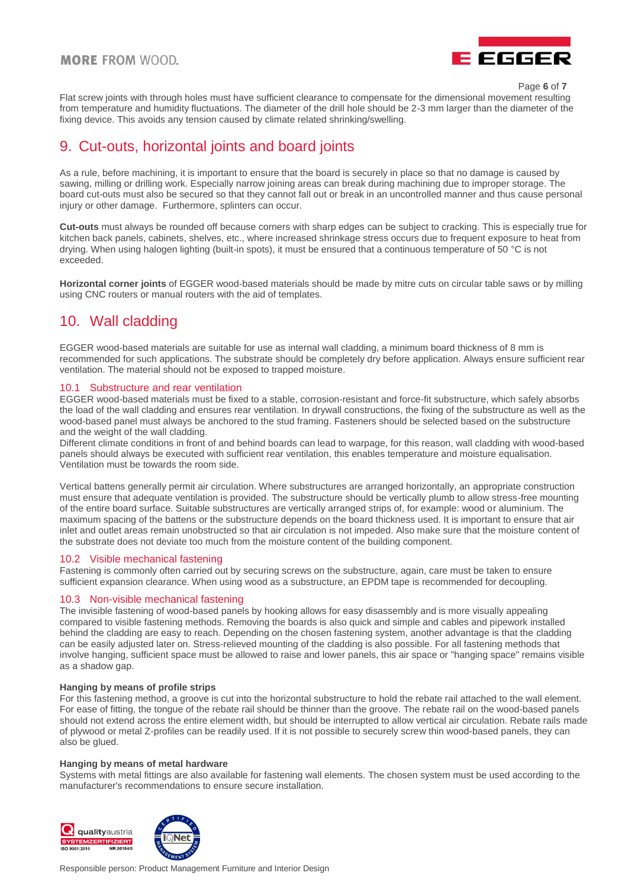### **MORE FROM WOOD.**



Page **6** of **7**

Flat screw joints with through holes must have sufficient clearance to compensate for the dimensional movement resulting from temperature and humidity fluctuations. The diameter of the drill hole should be 2-3 mm larger than the diameter of the fixing device. This avoids any tension caused by climate related shrinking/swelling.

### <span id="page-5-0"></span>9. Cut-outs, horizontal joints and board joints

As a rule, before machining, it is important to ensure that the board is securely in place so that no damage is caused by sawing, milling or drilling work. Especially narrow joining areas can break during machining due to improper storage. The board cut-outs must also be secured so that they cannot fall out or break in an uncontrolled manner and thus cause personal injury or other damage. Furthermore, splinters can occur.

**Cut-outs** must always be rounded off because corners with sharp edges can be subject to cracking. This is especially true for kitchen back panels, cabinets, shelves, etc., where increased shrinkage stress occurs due to frequent exposure to heat from drying. When using halogen lighting (built-in spots), it must be ensured that a continuous temperature of 50 °C is not exceeded.

**Horizontal corner joints** of EGGER wood-based materials should be made by mitre cuts on circular table saws or by milling using CNC routers or manual routers with the aid of templates.

### <span id="page-5-1"></span>10. Wall cladding

EGGER wood-based materials are suitable for use as internal wall cladding, a minimum board thickness of 8 mm is recommended for such applications. The substrate should be completely dry before application. Always ensure sufficient rear ventilation. The material should not be exposed to trapped moisture.

### <span id="page-5-2"></span>10.1 Substructure and rear ventilation

EGGER wood-based materials must be fixed to a stable, corrosion-resistant and force-fit substructure, which safely absorbs the load of the wall cladding and ensures rear ventilation. In drywall constructions, the fixing of the substructure as well as the wood-based panel must always be anchored to the stud framing. Fasteners should be selected based on the substructure and the weight of the wall cladding.

Different climate conditions in front of and behind boards can lead to warpage, for this reason, wall cladding with wood-based panels should always be executed with sufficient rear ventilation, this enables temperature and moisture equalisation. Ventilation must be towards the room side.

Vertical battens generally permit air circulation. Where substructures are arranged horizontally, an appropriate construction must ensure that adequate ventilation is provided. The substructure should be vertically plumb to allow stress-free mounting of the entire board surface. Suitable substructures are vertically arranged strips of, for example: wood or aluminium. The maximum spacing of the battens or the substructure depends on the board thickness used. It is important to ensure that air inlet and outlet areas remain unobstructed so that air circulation is not impeded. Also make sure that the moisture content of the substrate does not deviate too much from the moisture content of the building component.

### <span id="page-5-3"></span>10.2 Visible mechanical fastening

Fastening is commonly often carried out by securing screws on the substructure, again, care must be taken to ensure sufficient expansion clearance. When using wood as a substructure, an EPDM tape is recommended for decoupling.

### <span id="page-5-4"></span>10.3 Non-visible mechanical fastening

The invisible fastening of wood-based panels by hooking allows for easy disassembly and is more visually appealing compared to visible fastening methods. Removing the boards is also quick and simple and cables and pipework installed behind the cladding are easy to reach. Depending on the chosen fastening system, another advantage is that the cladding can be easily adjusted later on. Stress-relieved mounting of the cladding is also possible. For all fastening methods that involve hanging, sufficient space must be allowed to raise and lower panels, this air space or "hanging space" remains visible as a shadow gap.

#### **Hanging by means of profile strips**

For this fastening method, a groove is cut into the horizontal substructure to hold the rebate rail attached to the wall element. For ease of fitting, the tongue of the rebate rail should be thinner than the groove. The rebate rail on the wood-based panels should not extend across the entire element width, but should be interrupted to allow vertical air circulation. Rebate rails made of plywood or metal Z-profiles can be readily used. If it is not possible to securely screw thin wood-based panels, they can also be glued.

#### **Hanging by means of metal hardware**

Systems with metal fittings are also available for fastening wall elements. The chosen system must be used according to the manufacturer's recommendations to ensure secure installation.